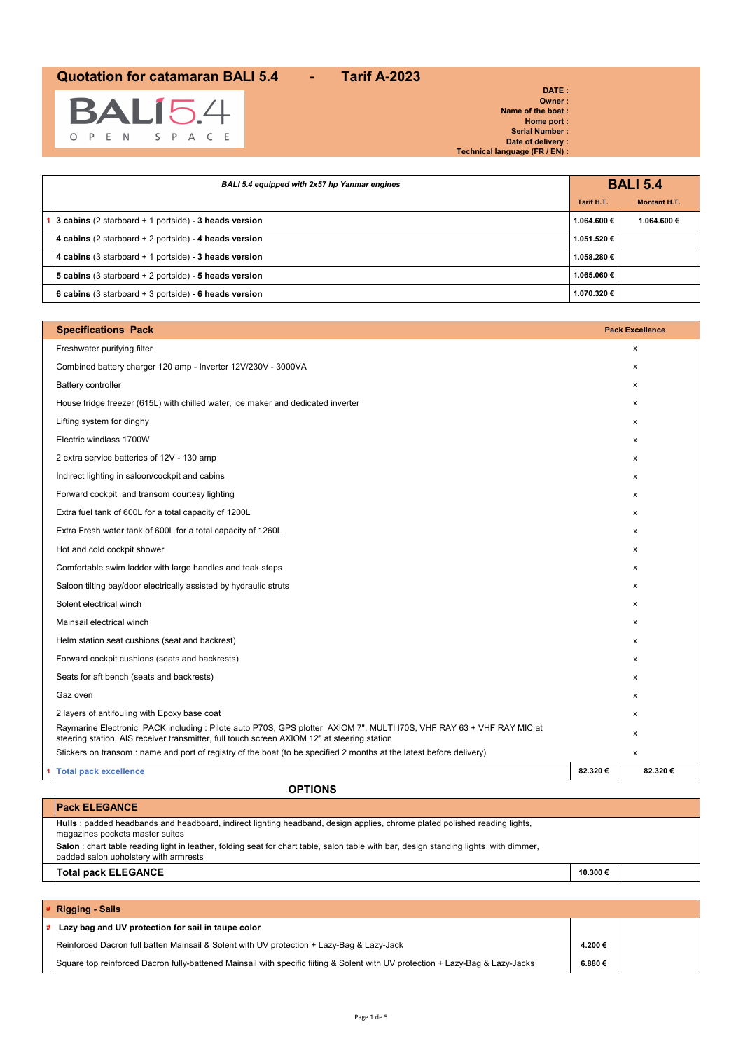

**DATE : Owner : Name of the boat : Home port : Serial Number : Date of delivery : Technical language (FR / EN) :**

| BALI 5.4 equipped with 2x57 hp Yanmar engines           |             | <b>BALI 5.4</b> |
|---------------------------------------------------------|-------------|-----------------|
| Tarif H.T.                                              |             | Montant H.T.    |
| 3 cabins (2 starboard + 1 portside) - 3 heads version   | 1.064.600 € | 1.064.600 €     |
| 4 cabins (2 starboard $+$ 2 portside) - 4 heads version | 1.051.520 € |                 |
| 4 cabins (3 starboard $+$ 1 portside) - 3 heads version | 1.058.280 € |                 |
| 5 cabins (3 starboard $+$ 2 portside) - 5 heads version | 1.065.060€  |                 |
| 6 cabins (3 starboard + 3 portside) - 6 heads version   | 1.070.320€  |                 |

| <b>Specifications Pack</b>                                                                                                                                                                                           |         | <b>Pack Excellence</b> |
|----------------------------------------------------------------------------------------------------------------------------------------------------------------------------------------------------------------------|---------|------------------------|
| Freshwater purifying filter                                                                                                                                                                                          |         | х                      |
| Combined battery charger 120 amp - Inverter 12V/230V - 3000VA                                                                                                                                                        |         | x                      |
| <b>Battery controller</b>                                                                                                                                                                                            |         | x                      |
| House fridge freezer (615L) with chilled water, ice maker and dedicated inverter                                                                                                                                     |         | x                      |
| Lifting system for dinghy                                                                                                                                                                                            |         | x                      |
| Electric windlass 1700W                                                                                                                                                                                              |         | x                      |
| 2 extra service batteries of 12V - 130 amp                                                                                                                                                                           |         | x                      |
| Indirect lighting in saloon/cockpit and cabins                                                                                                                                                                       |         | x                      |
| Forward cockpit and transom courtesy lighting                                                                                                                                                                        |         | x                      |
| Extra fuel tank of 600L for a total capacity of 1200L                                                                                                                                                                |         | x                      |
| Extra Fresh water tank of 600L for a total capacity of 1260L                                                                                                                                                         |         | x                      |
| Hot and cold cockpit shower                                                                                                                                                                                          |         | x                      |
| Comfortable swim ladder with large handles and teak steps                                                                                                                                                            |         | $\mathsf{x}$           |
| Saloon tilting bay/door electrically assisted by hydraulic struts                                                                                                                                                    |         | x                      |
| Solent electrical winch                                                                                                                                                                                              |         | $\mathsf{x}$           |
| Mainsail electrical winch                                                                                                                                                                                            |         | x                      |
| Helm station seat cushions (seat and backrest)                                                                                                                                                                       |         | x                      |
| Forward cockpit cushions (seats and backrests)                                                                                                                                                                       |         | x                      |
| Seats for aft bench (seats and backrests)                                                                                                                                                                            |         | x                      |
| Gaz oven                                                                                                                                                                                                             |         | x                      |
| 2 layers of antifouling with Epoxy base coat                                                                                                                                                                         |         | x                      |
| Raymarine Electronic PACK including : Pilote auto P70S, GPS plotter AXIOM 7", MULTI I70S, VHF RAY 63 + VHF RAY MIC at<br>steering station, AIS receiver transmitter, full touch screen AXIOM 12" at steering station |         | x                      |
| Stickers on transom: name and port of registry of the boat (to be specified 2 months at the latest before delivery)                                                                                                  |         | x                      |
| <b>Total pack excellence</b>                                                                                                                                                                                         | 82.320€ | 82.320€                |

**OPTIONS**

| <b>Pack ELEGANCE</b>                                                                                                                                                           |         |  |
|--------------------------------------------------------------------------------------------------------------------------------------------------------------------------------|---------|--|
| Hulls : padded headbands and headboard, indirect lighting headband, design applies, chrome plated polished reading lights,<br>magazines pockets master suites                  |         |  |
| Salon : chart table reading light in leather, folding seat for chart table, salon table with bar, design standing lights with dimmer,<br>padded salon upholstery with armrests |         |  |
| <b>Total pack ELEGANCE</b>                                                                                                                                                     | 10.300€ |  |
|                                                                                                                                                                                |         |  |

# **# Rigging - Sails # Lazy bag and UV protection for sail in taupe color** Reinforced Dacron full batten Mainsail & Solent with UV protection + Lazy-Bag & Lazy-Jack **4.200 €**

Square top reinforced Dacron fully-battened Mainsail with specific fiiting & Solent with UV protection + Lazy-Bag & Lazy-Jacks **6.880 €**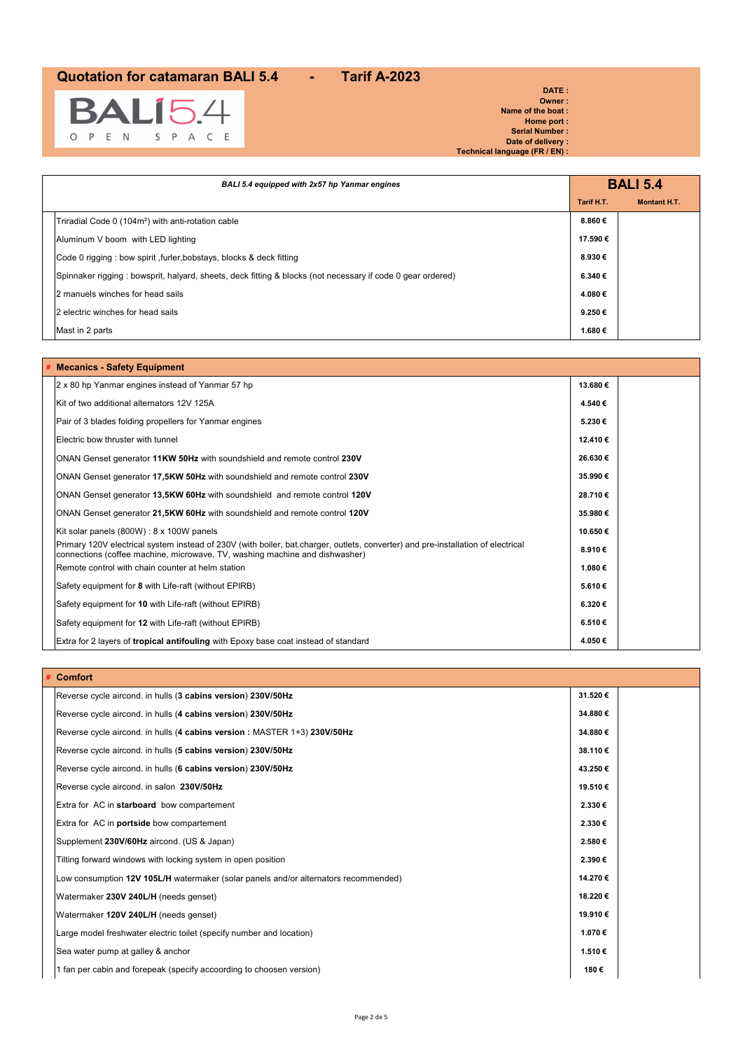

**DATE : Owner : Name of the boat : Home port : Serial Number : Date of delivery : Technical language (FR / EN) :**

| BALI 5.4 equipped with 2x57 hp Yanmar engines                                                               |            | <b>BALI 5.4</b>     |
|-------------------------------------------------------------------------------------------------------------|------------|---------------------|
|                                                                                                             | Tarif H.T. | <b>Montant H.T.</b> |
| Triradial Code 0 (104m <sup>2</sup> ) with anti-rotation cable                                              | 8.860€     |                     |
| Aluminum V boom with LED lighting                                                                           | 17.590€    |                     |
| Code 0 rigging : bow spirit, furler, bobstays, blocks & deck fitting                                        | 8.930€     |                     |
| Spinnaker rigging : bowsprit, halyard, sheets, deck fitting & blocks (not necessary if code 0 gear ordered) | 6.340€     |                     |
| 2 manuels winches for head sails                                                                            | 4.080€     |                     |
| 2 electric winches for head sails                                                                           | 9.250€     |                     |
| Mast in 2 parts                                                                                             | 1.680€     |                     |

| # Mecanics - Safety Equipment                                                                                                                                                                                   |         |  |
|-----------------------------------------------------------------------------------------------------------------------------------------------------------------------------------------------------------------|---------|--|
| 2 x 80 hp Yanmar engines instead of Yanmar 57 hp                                                                                                                                                                | 13.680€ |  |
| Kit of two additional alternators 12V 125A                                                                                                                                                                      | 4.540€  |  |
| Pair of 3 blades folding propellers for Yanmar engines                                                                                                                                                          | 5.230€  |  |
| Electric bow thruster with tunnel                                                                                                                                                                               | 12.410€ |  |
| ONAN Genset generator 11KW 50Hz with soundshield and remote control 230V                                                                                                                                        | 26.630€ |  |
| ONAN Genset generator 17,5KW 50Hz with soundshield and remote control 230V                                                                                                                                      | 35.990€ |  |
| ONAN Genset generator 13,5KW 60Hz with soundshield and remote control 120V                                                                                                                                      | 28.710€ |  |
| ONAN Genset generator 21,5KW 60Hz with soundshield and remote control 120V                                                                                                                                      | 35.980€ |  |
| Kit solar panels $(800W)$ : 8 x 100W panels                                                                                                                                                                     | 10.650€ |  |
| Primary 120V electrical system instead of 230V (with boiler, bat.charger, outlets, converter) and pre-installation of electrical<br>connections (coffee machine, microwave, TV, washing machine and dishwasher) | 8.910€  |  |
| Remote control with chain counter at helm station                                                                                                                                                               | 1.080€  |  |
| Safety equipment for 8 with Life-raft (without EPIRB)                                                                                                                                                           | 5.610€  |  |
| Safety equipment for 10 with Life-raft (without EPIRB)                                                                                                                                                          | 6.320€  |  |
| Safety equipment for 12 with Life-raft (without EPIRB)                                                                                                                                                          | 6.510€  |  |
| Extra for 2 layers of <b>tropical antifouling</b> with Epoxy base coat instead of standard                                                                                                                      | 4.050€  |  |

| <b>Comfort</b>                                                                      |         |  |
|-------------------------------------------------------------------------------------|---------|--|
| Reverse cycle aircond. in hulls (3 cabins version) 230V/50Hz                        | 31.520€ |  |
| Reverse cycle aircond. in hulls (4 cabins version) 230V/50Hz                        | 34.880€ |  |
| Reverse cycle aircond. in hulls (4 cabins version: MASTER 1+3) 230V/50Hz            | 34.880€ |  |
| Reverse cycle aircond. in hulls (5 cabins version) 230V/50Hz                        | 38.110€ |  |
| Reverse cycle aircond. in hulls (6 cabins version) 230V/50Hz                        | 43.250€ |  |
| Reverse cycle aircond. in salon 230V/50Hz                                           | 19.510€ |  |
| Extra for AC in starboard bow compartement                                          | 2.330€  |  |
| Extra for AC in <b>portside</b> bow compartement                                    | 2.330€  |  |
| Supplement 230V/60Hz aircond. (US & Japan)                                          | 2.580€  |  |
| Tilting forward windows with locking system in open position                        | 2.390€  |  |
| Low consumption 12V 105L/H watermaker (solar panels and/or alternators recommended) | 14.270€ |  |
| Watermaker 230V 240L/H (needs genset)                                               | 18.220€ |  |
| Watermaker 120V 240L/H (needs genset)                                               | 19.910€ |  |
| Large model freshwater electric toilet (specify number and location)                | 1.070€  |  |
| Sea water pump at galley & anchor                                                   | 1.510€  |  |
| 1 fan per cabin and forepeak (specify accoording to choosen version)                | 180€    |  |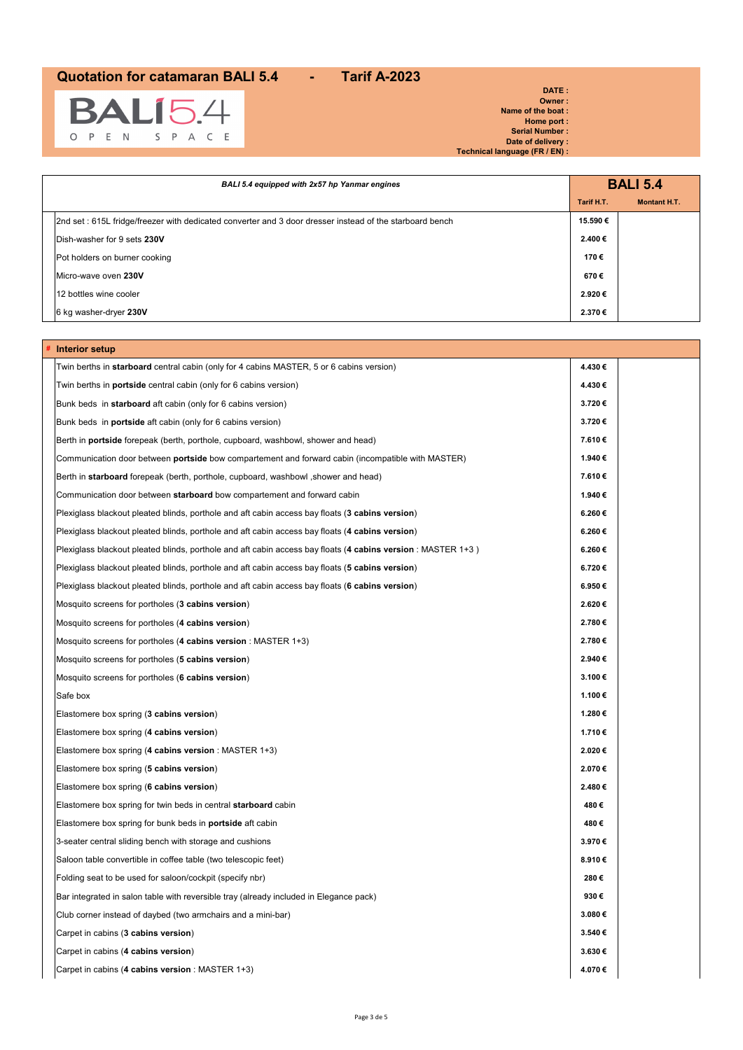

**DATE : Owner : Name of the boat : Home port : Serial Number : Date of delivery : Technical language (FR / EN) :**

| BALI 5.4 equipped with 2x57 hp Yanmar engines                                                           |            | <b>BALI 5.4</b>     |
|---------------------------------------------------------------------------------------------------------|------------|---------------------|
|                                                                                                         | Tarif H.T. | <b>Montant H.T.</b> |
| 2nd set: 615L fridge/freezer with dedicated converter and 3 door dresser instead of the starboard bench | 15.590€    |                     |
| Dish-washer for 9 sets 230V                                                                             | 2.400€     |                     |
| Pot holders on burner cooking                                                                           | 170€       |                     |
| Micro-wave oven 230V                                                                                    | 670€       |                     |
| 12 bottles wine cooler                                                                                  | 2.920€     |                     |
| 6 kg washer-dryer 230V                                                                                  | 2.370€     |                     |

| Interior setup                                                                                               |        |  |
|--------------------------------------------------------------------------------------------------------------|--------|--|
| Twin berths in <b>starboard</b> central cabin (only for 4 cabins MASTER, 5 or 6 cabins version)              | 4.430€ |  |
| Twin berths in <b>portside</b> central cabin (only for 6 cabins version)                                     | 4.430€ |  |
| Bunk beds in starboard aft cabin (only for 6 cabins version)                                                 | 3.720€ |  |
| Bunk beds in <b>portside</b> aft cabin (only for 6 cabins version)                                           | 3.720€ |  |
| Berth in <b>portside</b> forepeak (berth, porthole, cupboard, washbowl, shower and head)                     | 7.610€ |  |
| Communication door between <b>portside</b> bow compartement and forward cabin (incompatible with MASTER)     | 1.940€ |  |
| Berth in starboard forepeak (berth, porthole, cupboard, washbowl, shower and head)                           | 7.610€ |  |
| Communication door between starboard bow compartement and forward cabin                                      | 1.940€ |  |
| Plexiglass blackout pleated blinds, porthole and aft cabin access bay floats (3 cabins version)              | 6.260€ |  |
| Plexiglass blackout pleated blinds, porthole and aft cabin access bay floats (4 cabins version)              | 6.260€ |  |
| Plexiglass blackout pleated blinds, porthole and aft cabin access bay floats (4 cabins version : MASTER 1+3) | 6.260€ |  |
| Plexiglass blackout pleated blinds, porthole and aft cabin access bay floats (5 cabins version)              | 6.720€ |  |
| Plexiglass blackout pleated blinds, porthole and aft cabin access bay floats (6 cabins version)              | 6.950€ |  |
| Mosquito screens for portholes (3 cabins version)                                                            | 2.620€ |  |
| Mosquito screens for portholes (4 cabins version)                                                            | 2.780€ |  |
| Mosquito screens for portholes $(4$ cabins version : MASTER 1+3)                                             | 2.780€ |  |
| Mosquito screens for portholes (5 cabins version)                                                            | 2.940€ |  |
| Mosquito screens for portholes (6 cabins version)                                                            | 3.100€ |  |
| Safe box                                                                                                     | 1.100€ |  |
| Elastomere box spring (3 cabins version)                                                                     | 1.280€ |  |
| Elastomere box spring (4 cabins version)                                                                     | 1.710€ |  |
| Elastomere box spring (4 cabins version : MASTER 1+3)                                                        | 2.020€ |  |
| Elastomere box spring (5 cabins version)                                                                     | 2.070€ |  |
| Elastomere box spring (6 cabins version)                                                                     | 2.480€ |  |
| Elastomere box spring for twin beds in central <b>starboard</b> cabin                                        | 480€   |  |
| Elastomere box spring for bunk beds in <b>portside</b> aft cabin                                             | 480€   |  |
| 3-seater central sliding bench with storage and cushions                                                     | 3.970€ |  |
| Saloon table convertible in coffee table (two telescopic feet)                                               | 8.910€ |  |
| Folding seat to be used for saloon/cockpit (specify nbr)                                                     | 280€   |  |
| Bar integrated in salon table with reversible tray (already included in Elegance pack)                       | 930€   |  |
| Club corner instead of daybed (two armchairs and a mini-bar)                                                 | 3.080€ |  |
| Carpet in cabins (3 cabins version)                                                                          | 3.540€ |  |
| Carpet in cabins (4 cabins version)                                                                          | 3.630€ |  |
| Carpet in cabins (4 cabins version : MASTER 1+3)                                                             | 4.070€ |  |
|                                                                                                              |        |  |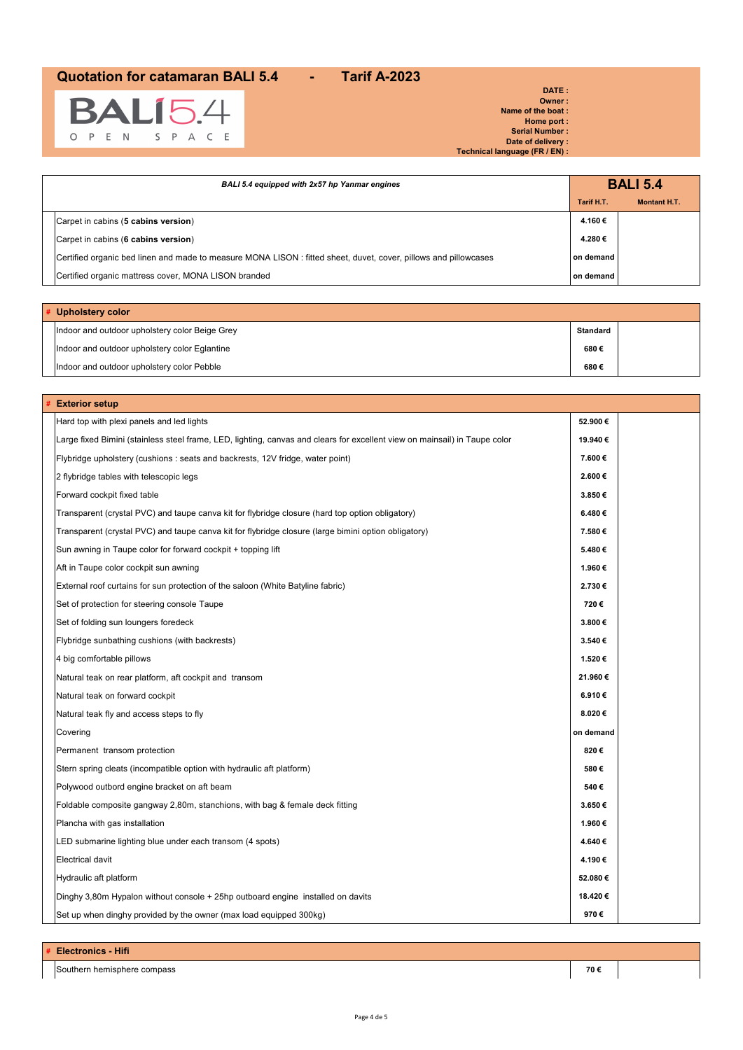

**DATE : Owner : Name of the boat : Home port : Serial Number : Date of delivery : Technical language (FR / EN) :**

| BALI 5.4 equipped with 2x57 hp Yanmar engines                                                                    |            | <b>BALI 5.4</b>     |
|------------------------------------------------------------------------------------------------------------------|------------|---------------------|
|                                                                                                                  | Tarif H.T. | <b>Montant H.T.</b> |
| Carpet in cabins (5 cabins version)                                                                              | 4.160 €    |                     |
| Carpet in cabins (6 cabins version)                                                                              | 4.280€     |                     |
| Certified organic bed linen and made to measure MONA LISON : fitted sheet, duvet, cover, pillows and pillowcases | on demand  |                     |
| Certified organic mattress cover, MONA LISON branded                                                             | on demand  |                     |
|                                                                                                                  |            |                     |

| # Upholstery color                             |                 |  |
|------------------------------------------------|-----------------|--|
| Indoor and outdoor upholstery color Beige Grey | <b>Standard</b> |  |
| Indoor and outdoor upholstery color Eglantine  | 680€            |  |
| Indoor and outdoor upholstery color Pebble     | 680€            |  |

| <b>Exterior setup</b>                                                                                                      |           |
|----------------------------------------------------------------------------------------------------------------------------|-----------|
| Hard top with plexi panels and led lights                                                                                  | 52.900€   |
| Large fixed Bimini (stainless steel frame, LED, lighting, canvas and clears for excellent view on mainsail) in Taupe color | 19.940€   |
| Flybridge upholstery (cushions : seats and backrests, 12V fridge, water point)                                             | 7.600€    |
| 2 flybridge tables with telescopic legs                                                                                    | 2.600€    |
| Forward cockpit fixed table                                                                                                | 3.850€    |
| Transparent (crystal PVC) and taupe canva kit for flybridge closure (hard top option obligatory)                           | 6.480€    |
| Transparent (crystal PVC) and taupe canva kit for flybridge closure (large bimini option obligatory)                       | 7.580€    |
| Sun awning in Taupe color for forward cockpit + topping lift                                                               | 5.480€    |
| Aft in Taupe color cockpit sun awning                                                                                      | 1.960€    |
| External roof curtains for sun protection of the saloon (White Batyline fabric)                                            | 2.730€    |
| Set of protection for steering console Taupe                                                                               | 720€      |
| Set of folding sun loungers foredeck                                                                                       | 3.800€    |
| Flybridge sunbathing cushions (with backrests)                                                                             | 3.540€    |
| 4 big comfortable pillows                                                                                                  | 1.520€    |
| Natural teak on rear platform, aft cockpit and transom                                                                     | 21.960€   |
| Natural teak on forward cockpit                                                                                            | 6.910€    |
| Natural teak fly and access steps to fly                                                                                   | 8.020€    |
| Covering                                                                                                                   | on demand |
| Permanent transom protection                                                                                               | 820€      |
| Stern spring cleats (incompatible option with hydraulic aft platform)                                                      | 580€      |
| Polywood outbord engine bracket on aft beam                                                                                | 540€      |
| Foldable composite gangway 2,80m, stanchions, with bag & female deck fitting                                               | 3.650€    |
| Plancha with gas installation                                                                                              | 1.960€    |
| LED submarine lighting blue under each transom (4 spots)                                                                   | 4.640€    |
| Electrical davit                                                                                                           | 4.190€    |
| Hydraulic aft platform                                                                                                     | 52.080€   |
| Dinghy 3,80m Hypalon without console + 25hp outboard engine installed on davits                                            | 18.420€   |
| Set up when dinghy provided by the owner (max load equipped 300kg)                                                         | 970€      |

Southern hemisphere compass **70 €**